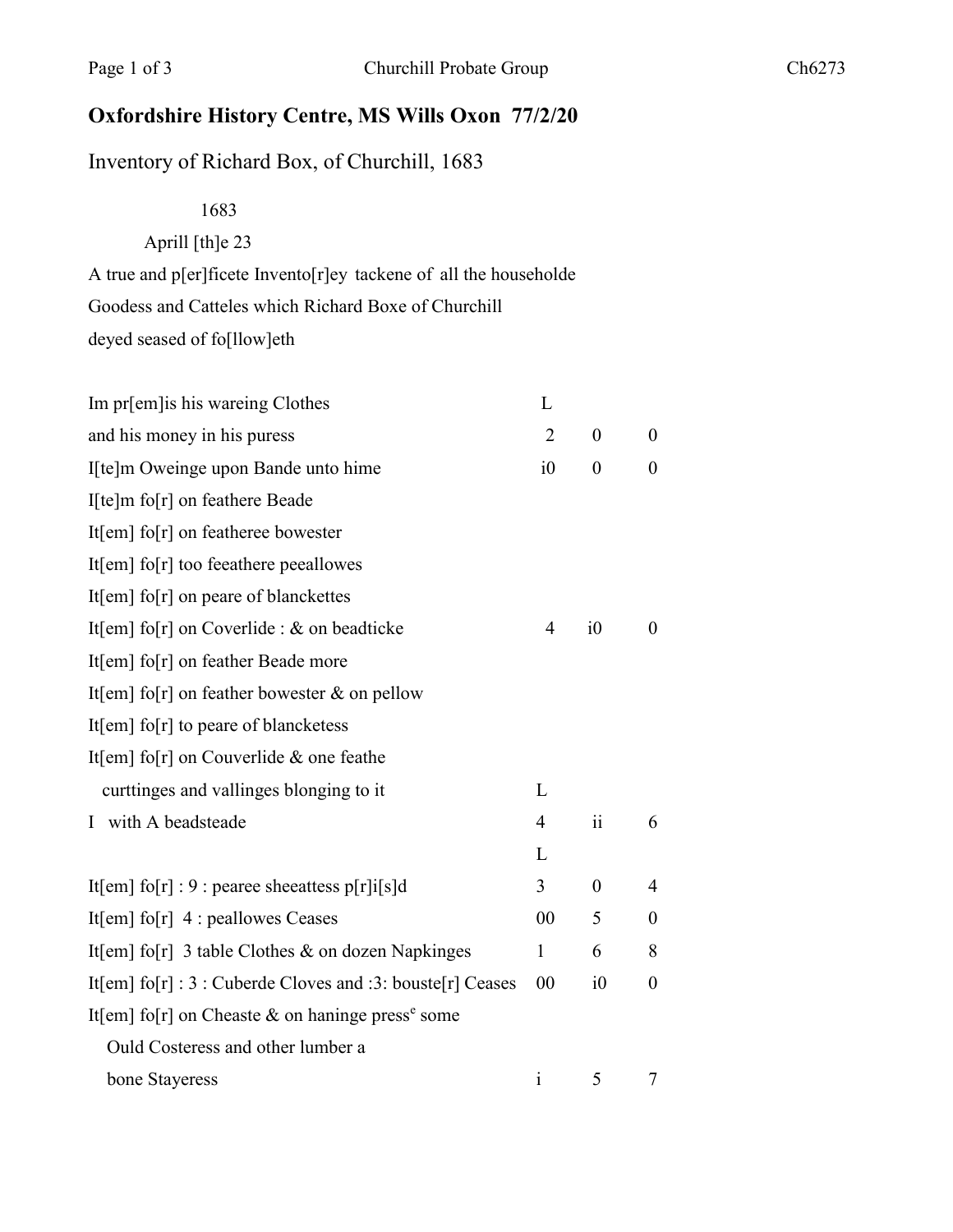## Oxfordshire History Centre, MS Wills Oxon 77/2/20

## Inventory of Richard Box, of Churchill, 1683

1683

Aprill [th]e 23

A true and p[er]ficete Invento[r]ey tackene of all the householde Goodess and Catteles which Richard Boxe of Churchill

deyed seased of fo[llow]eth

| Im pr[em] is his wareing Clothes                              | L              |                  |                  |
|---------------------------------------------------------------|----------------|------------------|------------------|
| and his money in his puress                                   | $\overline{2}$ | $\boldsymbol{0}$ | $\overline{0}$   |
| I[te]m Oweinge upon Bande unto hime                           | i0             | $\boldsymbol{0}$ | $\boldsymbol{0}$ |
| I[te]m fo[r] on feathere Beade                                |                |                  |                  |
| It[em] fo[r] on featheree bowester                            |                |                  |                  |
| It[em] fo[r] too feeathere peeallowes                         |                |                  |                  |
| It[em] fo[r] on peare of blanckettes                          |                |                  |                  |
| It[em] fo[r] on Coverlide : $&$ on beadticke                  | $\overline{4}$ | $i\theta$        | $\theta$         |
| It[em] fo[r] on feather Beade more                            |                |                  |                  |
| It[em] fo[r] on feather bowester $\&$ on pellow               |                |                  |                  |
| It[em] fo[r] to peare of blancketess                          |                |                  |                  |
| It[em] fo[r] on Couverlide $&$ one feathe                     |                |                  |                  |
| curttinges and vallinges blonging to it                       | L              |                  |                  |
| I with A beadsteade                                           | 4              | ii               | 6                |
|                                                               | L              |                  |                  |
| It[em] fo[r] : 9 : pearee sheeattess p[r] $i[s]d$             | 3              | $\theta$         | 4                |
| It[em] fo[r] 4 : peallowes Ceases                             | 00             | 5                | $\boldsymbol{0}$ |
| It[em] fo[r] 3 table Clothes $\&$ on dozen Napkinges          | $\mathbf{1}$   | 6                | 8                |
| It[em] $f$ o[r] : 3 : Cuberde Cloves and :3: bouste[r] Ceases | 00             | i0               | $\boldsymbol{0}$ |
| It[em] fo[r] on Cheaste & on haninge press <sup>e</sup> some  |                |                  |                  |
| Ould Costeress and other lumber a                             |                |                  |                  |
| bone Stayeress                                                | $\mathbf{i}$   | 5                | 7                |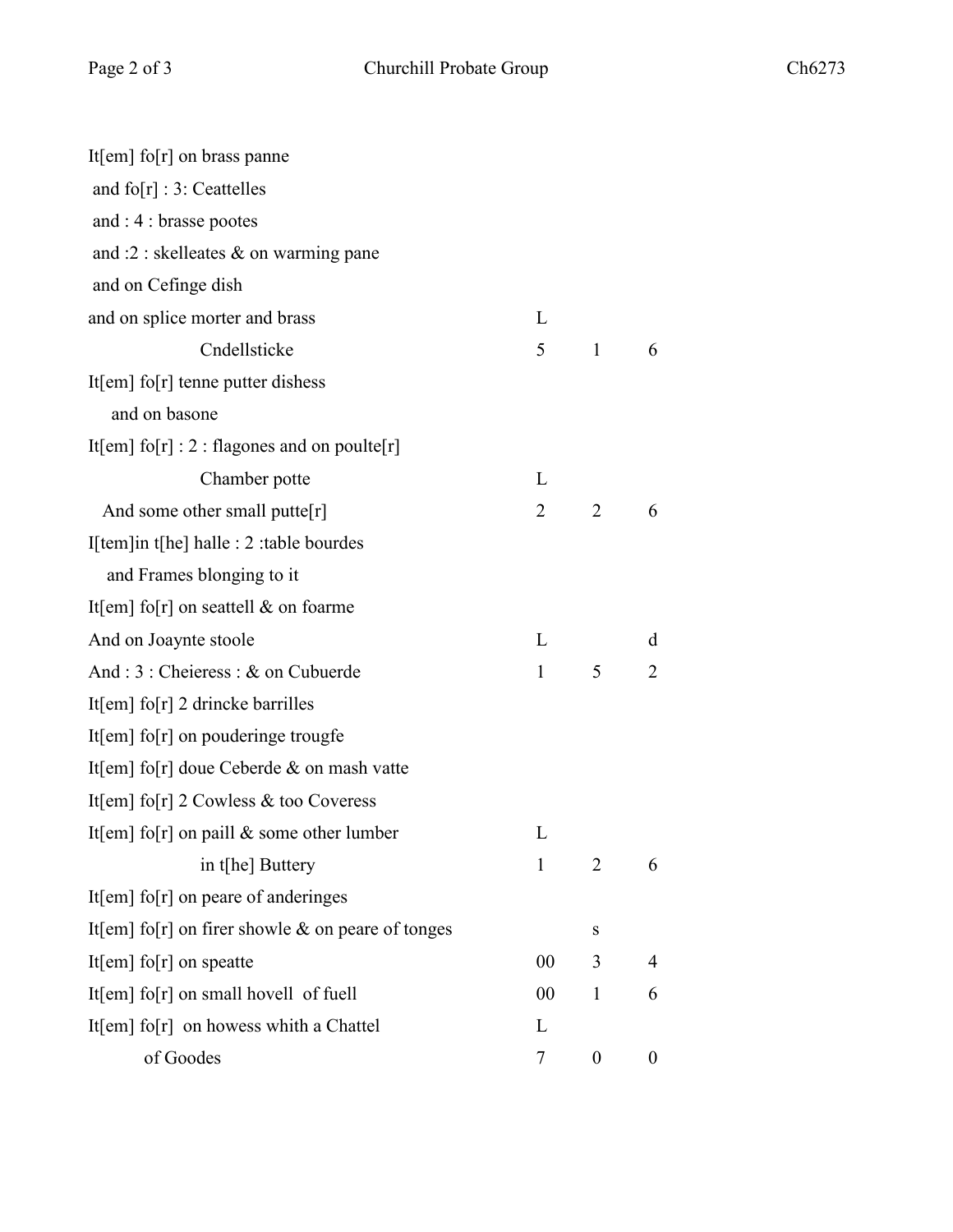| It[em] fo[r] on brass panne                         |              |                  |                  |
|-----------------------------------------------------|--------------|------------------|------------------|
| and $f \circ [r] : 3:$ Ceattelles                   |              |                  |                  |
| and $: 4:$ brasse pootes                            |              |                  |                  |
| and :2 : skelleates $\&$ on warming pane            |              |                  |                  |
| and on Cefinge dish                                 |              |                  |                  |
| and on splice morter and brass                      | L            |                  |                  |
| Cndellsticke                                        | 5            | $\mathbf{1}$     | 6                |
| It[em] fo[r] tenne putter dishess                   |              |                  |                  |
| and on basone                                       |              |                  |                  |
| It[em] fo[r] : 2 : flagones and on poulte[r]        |              |                  |                  |
| Chamber potte                                       | L            |                  |                  |
| And some other small putte $[r]$                    | 2            | 2                | 6                |
| I[tem]in t[he] halle : 2 :table bourdes             |              |                  |                  |
| and Frames blonging to it                           |              |                  |                  |
| It[em] fo[r] on seattell $\&$ on foarme             |              |                  |                  |
| And on Joaynte stoole                               | L            |                  | d                |
| And : 3 : Cheieress : & on Cubuerde                 | $\mathbf{1}$ | 5                | $\overline{2}$   |
| It[em] fo[r] 2 drincke barrilles                    |              |                  |                  |
| It[em] fo[r] on pouderinge trougfe                  |              |                  |                  |
| It[em] fo[r] doue Ceberde $\&$ on mash vatte        |              |                  |                  |
| It[em] fo[r] $2$ Cowless & too Coveress             |              |                  |                  |
| It[em] fo[r] on paill $\&$ some other lumber        | L            |                  |                  |
| in t[he] Buttery                                    | $\mathbf{1}$ | $\overline{2}$   | 6                |
| It[em] fo[r] on peare of anderinges                 |              |                  |                  |
| It[em] fo[r] on firer showle $&$ on peare of tonges |              | S                |                  |
| It[em] fo[r] on speatte                             | 00           | 3                | 4                |
| It[em] $fo[r]$ on small hovell of fuell             | 00           | $\mathbf{1}$     | 6                |
| It[em] $fo[r]$ on howess whith a Chattel            | L            |                  |                  |
| of Goodes                                           | 7            | $\boldsymbol{0}$ | $\boldsymbol{0}$ |